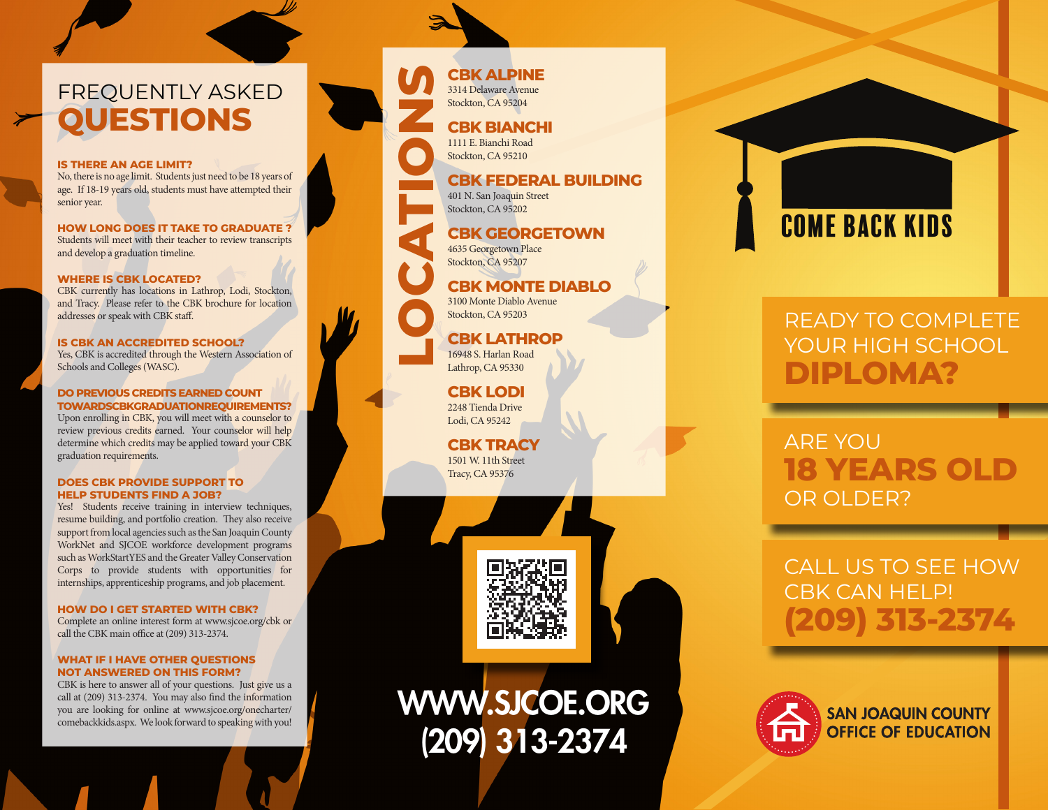# FREQUENTLY ASKED **QUESTIONS**

#### **IS THERE AN AGE LIMIT?**

No, there is no age limit. Students just need to be 18 years of age. If 18-19 years old, students must have attempted their senior year.

**HOW LONG DOES IT TAKE TO GRADUATE ?** Students will meet with their teacher to review transcripts and develop a graduation timeline.

#### **WHERE IS CBK LOCATED?**

CBK currently has locations in Lathrop, Lodi, Stockton, and Tracy. Please refer to the CBK brochure for location addresses or speak with CBK staff.

#### **IS CBK AN ACCREDITED SCHOOL?**

Yes, CBK is accredited through the Western Association of Schools and Colleges (WASC).

#### **DO PREVIOUS CREDITS EARNED COUNT TOWARDSCBKGRADUATIONREQUIREMENTS?**

Upon enrolling in CBK, you will meet with a counselor to review previous credits earned. Your counselor will help determine which credits may be applied toward your CBK graduation requirements.

#### **DOES CBK PROVIDE SUPPORT TO HELP STUDENTS FIND A JOB?**

Yes! Students receive training in interview techniques, resume building, and portfolio creation. They also receive support from local agencies such as the San Joaquin County WorkNet and SJCOE workforce development programs such as WorkStartYES and the Greater Valley Conservation Corps to provide students with opportunities for internships, apprenticeship programs, and job placement.

#### **HOW DO I GET STARTED WITH CBK?**

Complete an online interest form at www.sjcoe.org/cbk or call the CBK main office at (209) 313-2374.

#### **WHAT IF I HAVE OTHER QUESTIONS NOT ANSWERED ON THIS FORM?**

CBK is here to answer all of your questions. Just give us a call at (209) 313-2374. You may also find the information you are looking for online at www.sjcoe.org/onecharter/ comebackkids.aspx. We look forward to speaking with you! 3314 Delaware Avenue Stockton, CA 95204 **CBK BIANCHI** 1111 E. Bianchi Road





**LOCATION STATE STATE OF STATE STATE SCRIPTION CONTROLLER SCRIPTION SCRIPTION SCRIPTION SCRIPTION SCRIPTION SCRIPTION SCRIPTION SCRIPTION SCRIPTION SCRIPTION SCRIPTION SCRIPTION SCRIPTION SCRIPTION SCRIPTION SCRIPTION SCRI CBK MONTE DIABLO** 3100 Monte Diablo Avenue Stockton, CA 95203

**CBK FEDERAL BUILDING**

**CBK GEORGETOWN**

Stockton, CA 95210

401 N. San Joaquin Street Stockton, CA 95202

4635 Georgetown Place Stockton, CA 95207

#### **CBK LATHROP** 16948 S. Harlan Road Lathrop, CA 95330

**CBK LODI** 2248 Tienda Drive Lodi, CA 95242

**CBK TRACY** 1501 W. 11th Street Tracy, CA 95376



# WWW.SJCOE.ORG (209) 313-2374

# COME BACK KIDS

# READY TO COMPLETE YOUR HIGH SCHOOL **DIPLOMA?**

# ARE YOU **18 YEARS OLD**  OR OLDER?

# CALL US TO SEE HOW CBK CAN HELP! **(209) 313-2374**



**SAN JOAQUIN COUNTY OFFICE OF EDUCATION**